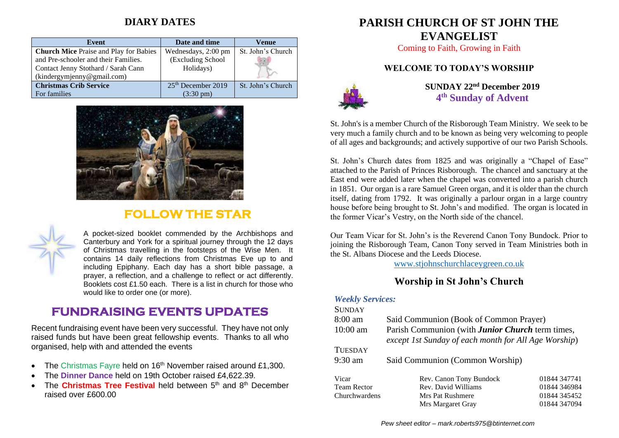## **DIARY DATES**

| Event                                         | Date and time                  | Venue             |
|-----------------------------------------------|--------------------------------|-------------------|
| <b>Church Mice Praise and Play for Babies</b> | Wednesdays, 2:00 pm            | St. John's Church |
| and Pre-schooler and their Families.          | (Excluding School              |                   |
| Contact Jenny Stothard / Sarah Cann           | Holidays)                      |                   |
| (kindergymjenny@gmail.com)                    |                                |                   |
| <b>Christmas Crib Service</b>                 | 25 <sup>th</sup> December 2019 | St. John's Church |
| For families                                  | $(3:30 \text{ pm})$            |                   |



# **FOLLOW THE STAR**



A pocket-sized booklet commended by the Archbishops and Canterbury and York for a spiritual journey through the 12 days of Christmas travelling in the footsteps of the Wise Men. It contains 14 daily reflections from Christmas Eve up to and including Epiphany. Each day has a short bible passage, a prayer, a reflection, and a challenge to reflect or act differently. Booklets cost £1.50 each. There is a list in church for those who would like to order one (or more).

# **FUNDRAISING EVENTS UPDATES**

Recent fundraising event have been very successful. They have not only raised funds but have been great fellowship events. Thanks to all who organised, help with and attended the events

- The Christmas Fayre held on  $16<sup>th</sup>$  November raised around £1,300.
- The **Dinner Dance** held on 19th October raised £4,622.39.
- The **Christmas Tree Festival** held between 5<sup>th</sup> and 8<sup>th</sup> December raised over £600.00

# **PARISH CHURCH OF ST JOHN THE EVANGELIST**

Coming to Faith, Growing in Faith

## **WELCOME TO TODAY'S WORSHIP**



**SUNDAY 22nd December 2019 4 th Sunday of Advent**

St. John's is a member Church of the Risborough Team Ministry. We seek to be very much a family church and to be known as being very welcoming to people of all ages and backgrounds; and actively supportive of our two Parish Schools.

St. John's Church dates from 1825 and was originally a "Chapel of Ease" attached to the Parish of Princes Risborough. The chancel and sanctuary at the East end were added later when the chapel was converted into a parish church in 1851. Our organ is a rare Samuel Green organ, and it is older than the church itself, dating from 1792. It was originally a parlour organ in a large country house before being brought to St. John's and modified. The organ is located in the former Vicar's Vestry, on the North side of the chancel.

Our Team Vicar for St. John's is the Reverend Canon Tony Bundock. Prior to joining the Risborough Team, Canon Tony served in Team Ministries both in the St. Albans Diocese and the Leeds Diocese.

[www.stjohnschurchlaceygreen.co.uk](http://www.stjohnschurchlaceygreen.co.uk/)

## **Worship in St John's Church**

#### *Weekly Services:*

| <b>SUNDAY</b>      |                                                                                                                 |              |  |
|--------------------|-----------------------------------------------------------------------------------------------------------------|--------------|--|
| 8:00 am            | Said Communion (Book of Common Prayer)                                                                          |              |  |
| $10:00$ am         | Parish Communion (with <b>Junior Church</b> term times,<br>except 1st Sunday of each month for All Age Worship) |              |  |
| TUESDAY            |                                                                                                                 |              |  |
| 9:30 am            | Said Communion (Common Worship)                                                                                 |              |  |
| Vicar              | Rev. Canon Tony Bundock                                                                                         | 01844 347741 |  |
| <b>Team Rector</b> | Rev. David Williams                                                                                             | 01844 346984 |  |
| Churchwardens      | Mrs Pat Rushmere                                                                                                | 01844 345452 |  |
|                    | Mrs Margaret Gray                                                                                               | 01844 347094 |  |